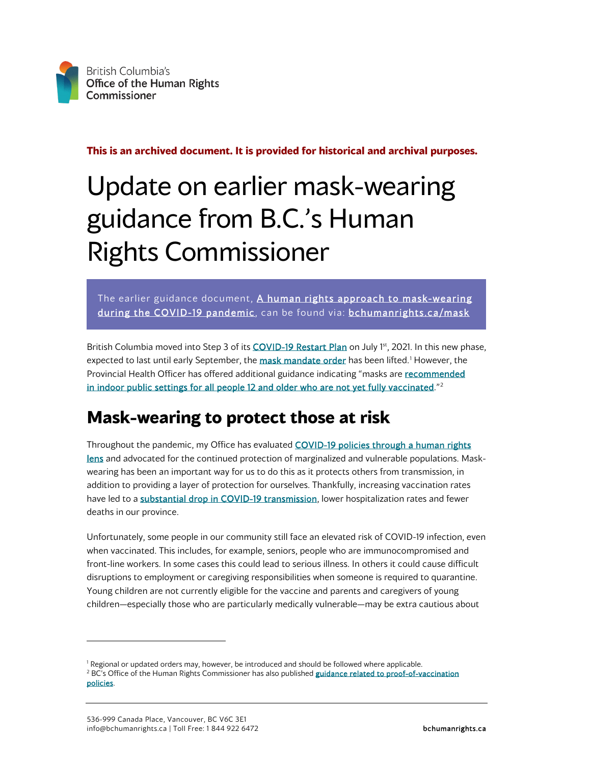

**This is an archived document. It is provided for historical and archival purposes.**

## Update on earlier mask-wearing guidance from B.C.'s Human Rights Commissioner

The earlier guidance document, A human rights approach to mask-wearing [during the COVID-19 pandemic,](https://bchumanrights.ca/wp-content/uploads/BCOHRC_Nov2020_Mask-Policy-Guidance_Update-210423.pdf) can be found via: [bchumanrights.ca/mask](https://bchumanrights.ca/mask)

British Columbia moved into Step 3 of its [COVID-19 Restart Plan](https://www2.gov.bc.ca/gov/content/covid-19/info/restart) on July 1<sup>st</sup>, 2021. In this new phase, expected to last until early September, the [mask mandate order](https://www.bclaws.gov.bc.ca/civix/document/id/mo/mo/m0012_2021) has been lifted.<sup>[1](#page-0-0)</sup> However, the Provincial Health Officer has offered additional guidance indicating "masks are recommended [in indoor public settings for all people 12 and older who are not yet fully vaccinated."](https://www2.gov.bc.ca/gov/content/covid-19/info/restrictions#mask-guidance)<sup>[2](#page-0-1)</sup>

## **Mask-wearing to protect those at risk**

Throughout the pandemic, my Office has evaluated COVID-19 policies through a human rights [lens](https://bchumanrights.ca/key-issues/covid-19/) and advocated for the continued protection of marginalized and vulnerable populations. Maskwearing has been an important way for us to do this as it protects others from transmission, in addition to providing a layer of protection for ourselves. Thankfully, increasing vaccination rates have led to [a substantial drop in COVID-19 transmission,](https://news.gov.bc.ca/files/6-10_PHO_presentation.pdf) lower hospitalization rates and fewer deaths in our province.

Unfortunately, some people in our community still face an elevated risk of COVID-19 infection, even when vaccinated. This includes, for example, seniors, people who are immunocompromised and front-line workers. In some cases this could lead to serious illness. In others it could cause difficult disruptions to employment or caregiving responsibilities when someone is required to quarantine. Young children are not currently eligible for the vaccine and parents and caregivers of young children—especially those who are particularly medically vulnerable—may be extra cautious about

<span id="page-0-1"></span><span id="page-0-0"></span><sup>&</sup>lt;sup>1</sup> Regional or updated orders may, however, be introduced and should be followed where applicable.<br><sup>2</sup> BC's Office of the Human Rights Commissioner has also published guidance related to proof-of-vaccination [policies.](https://bchumanrights.ca/publications/vaccination)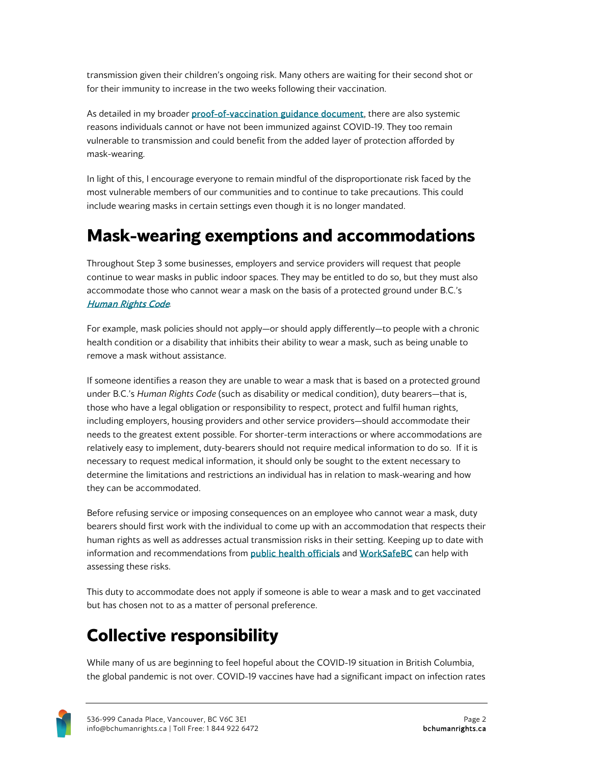transmission given their children's ongoing risk. Many others are waiting for their second shot or for their immunity to increase in the two weeks following their vaccination.

As detailed in my broade[r proof-of-vaccination guidance document,](https://bchumanrights.ca/publications/vaccination/) there are also systemic reasons individuals cannot or have not been immunized against COVID-19. They too remain vulnerable to transmission and could benefit from the added layer of protection afforded by mask-wearing.

In light of this, I encourage everyone to remain mindful of the disproportionate risk faced by the most vulnerable members of our communities and to continue to take precautions. This could include wearing masks in certain settings even though it is no longer mandated.

## **Mask-wearing exemptions and accommodations**

Throughout Step 3 some businesses, employers and service providers will request that people continue to wear masks in public indoor spaces. They may be entitled to do so, but they must also accommodate those who cannot wear a mask on the basis of a protected ground under B.C.'s [Human Rights Code](https://www.bclaws.ca/civix/document/id/complete/statreg/00_96210_01).

For example, mask policies should not apply—or should apply differently—to people with a chronic health condition or a disability that inhibits their ability to wear a mask, such as being unable to remove a mask without assistance.

If someone identifies a reason they are unable to wear a mask that is based on a protected ground under B.C.'s *Human Rights Code* (such as disability or medical condition), duty bearers—that is, those who have a legal obligation or responsibility to respect, protect and fulfil human rights, including employers, housing providers and other service providers—should accommodate their needs to the greatest extent possible. For shorter-term interactions or where accommodations are relatively easy to implement, duty-bearers should not require medical information to do so. If it is necessary to request medical information, it should only be sought to the extent necessary to determine the limitations and restrictions an individual has in relation to mask-wearing and how they can be accommodated.

Before refusing service or imposing consequences on an employee who cannot wear a mask, duty bearers should first work with the individual to come up with an accommodation that respects their human rights as well as addresses actual transmission risks in their setting. Keeping up to date with information and recommendations from **public health officials** an[d WorkSafeBC](https://www.worksafebc.com/en/covid-19) can help with assessing these risks.

This duty to accommodate does not apply if someone is able to wear a mask and to get vaccinated but has chosen not to as a matter of personal preference.

## **Collective responsibility**

While many of us are beginning to feel hopeful about the COVID-19 situation in British Columbia, the global pandemic is not over. COVID-19 vaccines have had a significant impact on infection rates